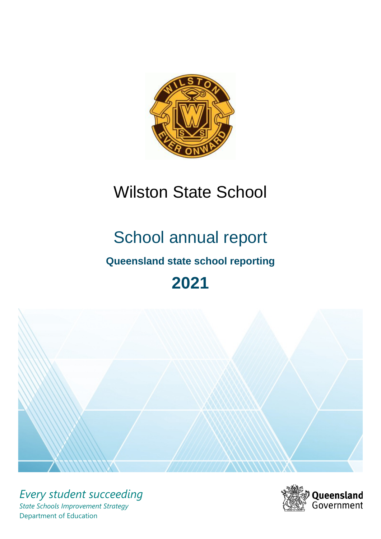

# Wilston State School

# School annual report

# **Queensland state school reporting**

# **2021**



*Every student succeeding State Schools Improvement Strategy* Department of Education

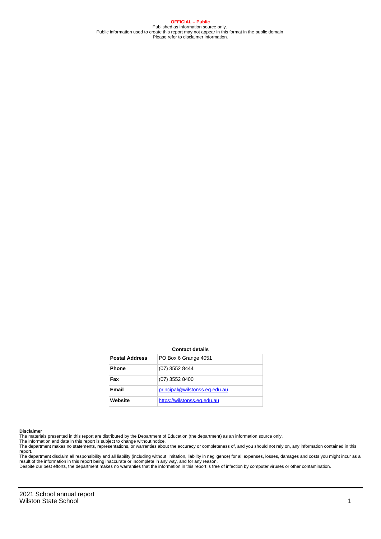**OFFICIAL – Public** Published as information source only. Public information used to create this report may not appear in this format in the public domain Please refer to disclaimer information.

#### **Contact details**

| <b>Postal Address</b> | PO Box 6 Grange 4051          |
|-----------------------|-------------------------------|
| <b>Phone</b>          | (07) 3552 8444                |
| Fax                   | $(07)$ 3552 8400              |
| Email                 | principal@wilstonss.eq.edu.au |
| Website               | https://wilstonss.eq.edu.au   |

#### **Disclaimer**

The materials presented in this report are distributed by the Department of Education (the department) as an information source only.

The information and data in this report is subject to change without notice.<br>The department makes no statements, representations, or warranties about the accuracy or completeness of, and you should not rely on, any informa report.

The department disclaim all responsibility and all liability (including without limitation, liability in negligence) for all expenses, losses, damages and costs you might incur as a result of the information in this report being inaccurate or incomplete in any way, and for any reason. Despite our best efforts, the department makes no warranties that the information in this report is free of infection by computer viruses or other contamination.

2021 School annual report Wilston State School 1 and 2008 1 and 2008 1 and 2008 1 and 2008 1 and 2008 1 and 2008 1 and 2008 1 and 2008 1 and 2008 1 and 2008 1 and 2008 1 and 2008 1 and 2008 1 and 2008 1 and 2008 1 and 2008 1 and 2008 1 and 2008 1 a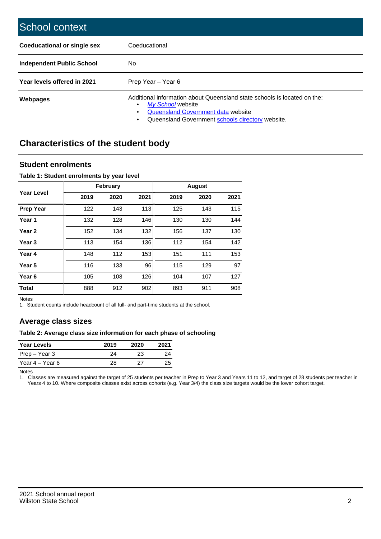| School context                   |                                                                                                                                                                                              |
|----------------------------------|----------------------------------------------------------------------------------------------------------------------------------------------------------------------------------------------|
| Coeducational or single sex      | Coeducational                                                                                                                                                                                |
| <b>Independent Public School</b> | No.                                                                                                                                                                                          |
| Year levels offered in 2021      | Prep Year - Year 6                                                                                                                                                                           |
| Webpages                         | Additional information about Queensland state schools is located on the:<br>My School website<br>Queensland Government data website<br>Queensland Government schools directory website.<br>٠ |

# **Characteristics of the student body**

### **Student enrolments**

#### **Table 1: Student enrolments by year level**

|                   |      | <b>February</b> |      |      | <b>August</b> |      |
|-------------------|------|-----------------|------|------|---------------|------|
| Year Level        | 2019 | 2020            | 2021 | 2019 | 2020          | 2021 |
| <b>Prep Year</b>  | 122  | 143             | 113  | 125  | 143           | 115  |
| Year 1            | 132  | 128             | 146  | 130  | 130           | 144  |
| Year 2            | 152  | 134             | 132  | 156  | 137           | 130  |
| Year <sub>3</sub> | 113  | 154             | 136  | 112  | 154           | 142  |
| Year 4            | 148  | 112             | 153  | 151  | 111           | 153  |
| Year 5            | 116  | 133             | 96   | 115  | 129           | 97   |
| Year <sub>6</sub> | 105  | 108             | 126  | 104  | 107           | 127  |
| <b>Total</b>      | 888  | 912             | 902  | 893  | 911           | 908  |

Notes

1. Student counts include headcount of all full- and part-time students at the school.

## **Average class sizes**

#### **Table 2: Average class size information for each phase of schooling**

| <b>Year Levels</b> | 2019 | 2020 | 2021 |
|--------------------|------|------|------|
| Prep – Year 3      | 24   | 23   | 24   |
| Year 4 – Year 6    | 28   | 27   | 25   |

Notes

1. Classes are measured against the target of 25 students per teacher in Prep to Year 3 and Years 11 to 12, and target of 28 students per teacher in Years 4 to 10. Where composite classes exist across cohorts (e.g. Year 3/4) the class size targets would be the lower cohort target.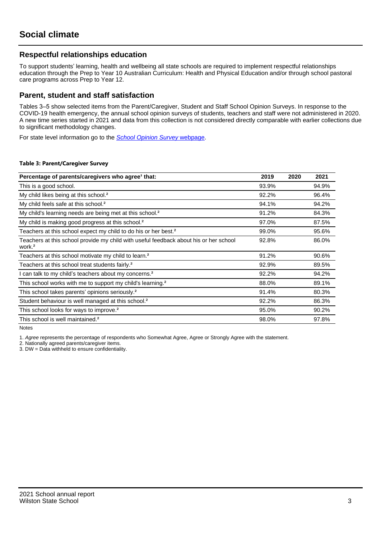## **Respectful relationships education**

To support students' learning, health and wellbeing all state schools are required to implement respectful relationships education through the Prep to Year 10 Australian Curriculum: Health and Physical Education and/or through school pastoral care programs across Prep to Year 12.

### **Parent, student and staff satisfaction**

Tables 3–5 show selected items from the Parent/Caregiver, Student and Staff School Opinion Surveys. In response to the COVID-19 health emergency, the annual school opinion surveys of students, teachers and staff were not administered in 2020. A new time series started in 2021 and data from this collection is not considered directly comparable with earlier collections due to significant methodology changes.

For state level information go to the **[School Opinion Survey](https://qed.qld.gov.au/publications/reports/statistics/schooling/schools/schoolopinionsurvey) webpage**.

#### **Table 3: Parent/Caregiver Survey**

| Percentage of parents/caregivers who agree <sup>1</sup> that:                                               | 2019  | 2020 | 2021  |
|-------------------------------------------------------------------------------------------------------------|-------|------|-------|
| This is a good school.                                                                                      | 93.9% |      | 94.9% |
| My child likes being at this school. <sup>2</sup>                                                           | 92.2% |      | 96.4% |
| My child feels safe at this school. <sup>2</sup>                                                            | 94.1% |      | 94.2% |
| My child's learning needs are being met at this school. <sup>2</sup>                                        | 91.2% |      | 84.3% |
| My child is making good progress at this school. <sup>2</sup>                                               | 97.0% |      | 87.5% |
| Teachers at this school expect my child to do his or her best. <sup>2</sup>                                 | 99.0% |      | 95.6% |
| Teachers at this school provide my child with useful feedback about his or her school<br>work. <sup>2</sup> | 92.8% |      | 86.0% |
| Teachers at this school motivate my child to learn. <sup>2</sup>                                            | 91.2% |      | 90.6% |
| Teachers at this school treat students fairly. <sup>2</sup>                                                 | 92.9% |      | 89.5% |
| can talk to my child's teachers about my concerns. <sup>2</sup>                                             | 92.2% |      | 94.2% |
| This school works with me to support my child's learning. <sup>2</sup>                                      | 88.0% |      | 89.1% |
| This school takes parents' opinions seriously. <sup>2</sup>                                                 | 91.4% |      | 80.3% |
| Student behaviour is well managed at this school. <sup>2</sup>                                              | 92.2% |      | 86.3% |
| This school looks for ways to improve. <sup>2</sup>                                                         | 95.0% |      | 90.2% |
| This school is well maintained. <sup>2</sup>                                                                | 98.0% |      | 97.8% |

Notes

1. Agree represents the percentage of respondents who Somewhat Agree, Agree or Strongly Agree with the statement.

2. Nationally agreed parents/caregiver items.

3. DW = Data withheld to ensure confidentiality.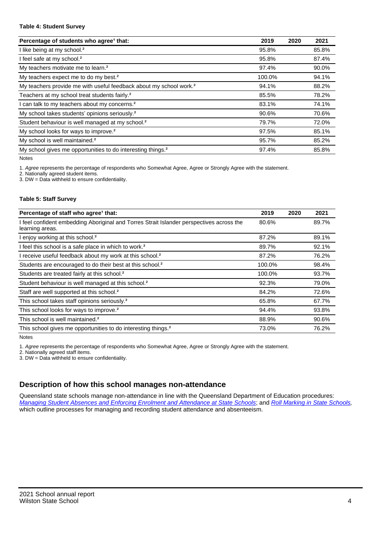#### **Table 4: Student Survey**

| Percentage of students who agree <sup>1</sup> that:                            | 2019   | 2020 | 2021  |
|--------------------------------------------------------------------------------|--------|------|-------|
| I like being at my school. <sup>2</sup>                                        | 95.8%  |      | 85.8% |
| I feel safe at my school. <sup>2</sup>                                         | 95.8%  |      | 87.4% |
| My teachers motivate me to learn. <sup>2</sup>                                 | 97.4%  |      | 90.0% |
| My teachers expect me to do my best. <sup>2</sup>                              | 100.0% |      | 94.1% |
| My teachers provide me with useful feedback about my school work. <sup>2</sup> | 94.1%  |      | 88.2% |
| Teachers at my school treat students fairly. <sup>2</sup>                      | 85.5%  |      | 78.2% |
| I can talk to my teachers about my concerns. <sup>2</sup>                      | 83.1%  |      | 74.1% |
| My school takes students' opinions seriously. <sup>2</sup>                     | 90.6%  |      | 70.6% |
| Student behaviour is well managed at my school. <sup>2</sup>                   | 79.7%  |      | 72.0% |
| My school looks for ways to improve. <sup>2</sup>                              | 97.5%  |      | 85.1% |
| My school is well maintained. <sup>2</sup>                                     | 95.7%  |      | 85.2% |
| My school gives me opportunities to do interesting things. <sup>2</sup>        | 97.4%  |      | 85.8% |

Notes

1. Agree represents the percentage of respondents who Somewhat Agree, Agree or Strongly Agree with the statement.

2. Nationally agreed student items.

3. DW = Data withheld to ensure confidentiality.

#### **Table 5: Staff Survey**

| Percentage of staff who agree <sup>1</sup> that:                                                            | 2019   | 2020 | 2021  |
|-------------------------------------------------------------------------------------------------------------|--------|------|-------|
| I feel confident embedding Aboriginal and Torres Strait Islander perspectives across the<br>learning areas. | 80.6%  |      | 89.7% |
| I enjoy working at this school. <sup>2</sup>                                                                | 87.2%  |      | 89.1% |
| I feel this school is a safe place in which to work. <sup>2</sup>                                           | 89.7%  |      | 92.1% |
| I receive useful feedback about my work at this school. <sup>2</sup>                                        | 87.2%  |      | 76.2% |
| Students are encouraged to do their best at this school. <sup>2</sup>                                       | 100.0% |      | 98.4% |
| Students are treated fairly at this school. <sup>2</sup>                                                    | 100.0% |      | 93.7% |
| Student behaviour is well managed at this school. <sup>2</sup>                                              | 92.3%  |      | 79.0% |
| Staff are well supported at this school. <sup>2</sup>                                                       | 84.2%  |      | 72.6% |
| This school takes staff opinions seriously. <sup>2</sup>                                                    | 65.8%  |      | 67.7% |
| This school looks for ways to improve. <sup>2</sup>                                                         | 94.4%  |      | 93.8% |
| This school is well maintained. <sup>2</sup>                                                                | 88.9%  |      | 90.6% |
| This school gives me opportunities to do interesting things. <sup>2</sup>                                   | 73.0%  |      | 76.2% |

Notes

1. Agree represents the percentage of respondents who Somewhat Agree, Agree or Strongly Agree with the statement.

2. Nationally agreed staff items.

3. DW = Data withheld to ensure confidentiality.

## **Description of how this school manages non-attendance**

Queensland state schools manage non-attendance in line with the Queensland Department of Education procedures: [Managing Student Absences and Enforcing Enrolment and Attendance at State Schools](https://ppr.qed.qld.gov.au/pp/managing-student-absences-and-enforcing-enrolment-and-attendance-at-state-schools-procedure); and [Roll Marking in State Schools,](https://ppr.qed.qld.gov.au/pp/roll-marking-in-state-schools-procedure) which outline processes for managing and recording student attendance and absenteeism.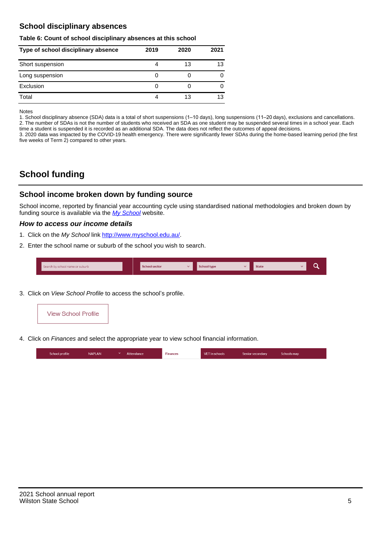## **School disciplinary absences**

#### **Table 6: Count of school disciplinary absences at this school**

| Type of school disciplinary absence | 2019 | 2020 | 2021 |
|-------------------------------------|------|------|------|
| Short suspension                    |      | 13   | 13   |
| Long suspension                     |      |      |      |
| Exclusion                           | O    |      |      |
| Total                               |      | 13   | 13   |

Notes

1. School disciplinary absence (SDA) data is a total of short suspensions (1–10 days), long suspensions (11–20 days), exclusions and cancellations. 2. The number of SDAs is not the number of students who received an SDA as one student may be suspended several times in a school year. Each time a student is suspended it is recorded as an additional SDA. The data does not reflect the outcomes of appeal decisions.

3. 2020 data was impacted by the COVID-19 health emergency. There were significantly fewer SDAs during the home-based learning period (the first five weeks of Term 2) compared to other years.

# **School funding**

## **School income broken down by funding source**

School income, reported by financial year accounting cycle using standardised national methodologies and broken down by funding source is available via the  $My$  School website.

#### **How to access our income details**

- 1. Click on the My School link <http://www.myschool.edu.au/>.
- 2. Enter the school name or suburb of the school you wish to search.

|  | Search by school name or suburb |  | <b>School sector</b> |  | $\sim$ and $\sim$ represents the set of $\sim$ | <b>State</b> |  |  |  |
|--|---------------------------------|--|----------------------|--|------------------------------------------------|--------------|--|--|--|
|--|---------------------------------|--|----------------------|--|------------------------------------------------|--------------|--|--|--|

3. Click on View School Profile to access the school's profile.



4. Click on Finances and select the appropriate year to view school financial information.

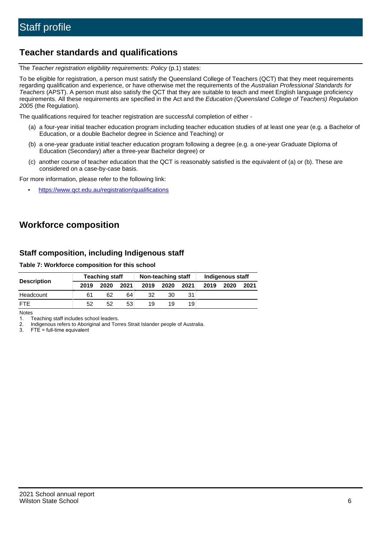## **Teacher standards and qualifications**

The Teacher registration eligibility requirements: Policy (p.1) states:

To be eligible for registration, a person must satisfy the Queensland College of Teachers (QCT) that they meet requirements regarding qualification and experience, or have otherwise met the requirements of the Australian Professional Standards for Teachers (APST). A person must also satisfy the QCT that they are suitable to teach and meet English language proficiency requirements. All these requirements are specified in the Act and the Education (Queensland College of Teachers) Regulation 2005 (the Regulation).

The qualifications required for teacher registration are successful completion of either -

- (a) a four-year initial teacher education program including teacher education studies of at least one year (e.g. a Bachelor of Education, or a double Bachelor degree in Science and Teaching) or
- (b) a one-year graduate initial teacher education program following a degree (e.g. a one-year Graduate Diploma of Education (Secondary) after a three-year Bachelor degree) or
- (c) another course of teacher education that the QCT is reasonably satisfied is the equivalent of (a) or (b). These are considered on a case-by-case basis.

For more information, please refer to the following link:

• <https://www.qct.edu.au/registration/qualifications>

# **Workforce composition**

## **Staff composition, including Indigenous staff**

#### **Table 7: Workforce composition for this school**

|                    |      | <b>Teaching staff</b> |      |      | Non-teaching staff |      |      | Indigenous staff |      |
|--------------------|------|-----------------------|------|------|--------------------|------|------|------------------|------|
| <b>Description</b> | 2019 | 2020                  | 2021 | 2019 | 2020               | 2021 | 2019 | 2020             | 2021 |
| Headcount          | 61   | 62                    | 64   | 32   | 30                 |      |      |                  |      |
| <b>FTE</b>         | 52   | 52                    | 53   | 19   | 19                 | 19   |      |                  |      |

Notes

1. Teaching staff includes school leaders.

2. Indigenous refers to Aboriginal and Torres Strait Islander people of Australia.

3. FTE = full-time equivalent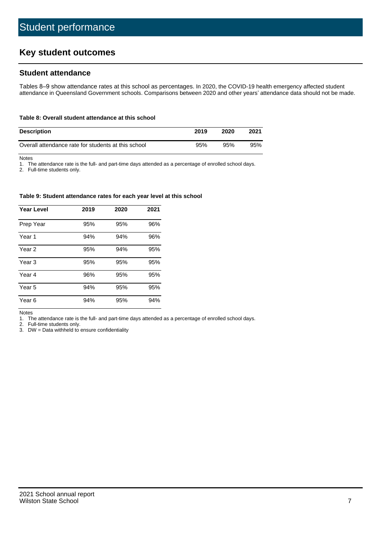# **Key student outcomes**

## **Student attendance**

Tables 8–9 show attendance rates at this school as percentages. In 2020, the COVID-19 health emergency affected student attendance in Queensland Government schools. Comparisons between 2020 and other years' attendance data should not be made.

#### **Table 8: Overall student attendance at this school**

| <b>Description</b>                                  | 2019 | 2020 | 2021 |
|-----------------------------------------------------|------|------|------|
| Overall attendance rate for students at this school | 95%  | 95%  | 95%  |

Notes

1. The attendance rate is the full- and part-time days attended as a percentage of enrolled school days.

2. Full-time students only.

#### **Table 9: Student attendance rates for each year level at this school**

| <b>Year Level</b> | 2019 | 2020 | 2021 |
|-------------------|------|------|------|
| Prep Year         | 95%  | 95%  | 96%  |
| Year <sub>1</sub> | 94%  | 94%  | 96%  |
| Year 2            | 95%  | 94%  | 95%  |
| Year 3            | 95%  | 95%  | 95%  |
| Year 4            | 96%  | 95%  | 95%  |
| Year 5            | 94%  | 95%  | 95%  |
| Year <sub>6</sub> | 94%  | 95%  | 94%  |

Notes

1. The attendance rate is the full- and part-time days attended as a percentage of enrolled school days.

2. Full-time students only.

3. DW = Data withheld to ensure confidentiality